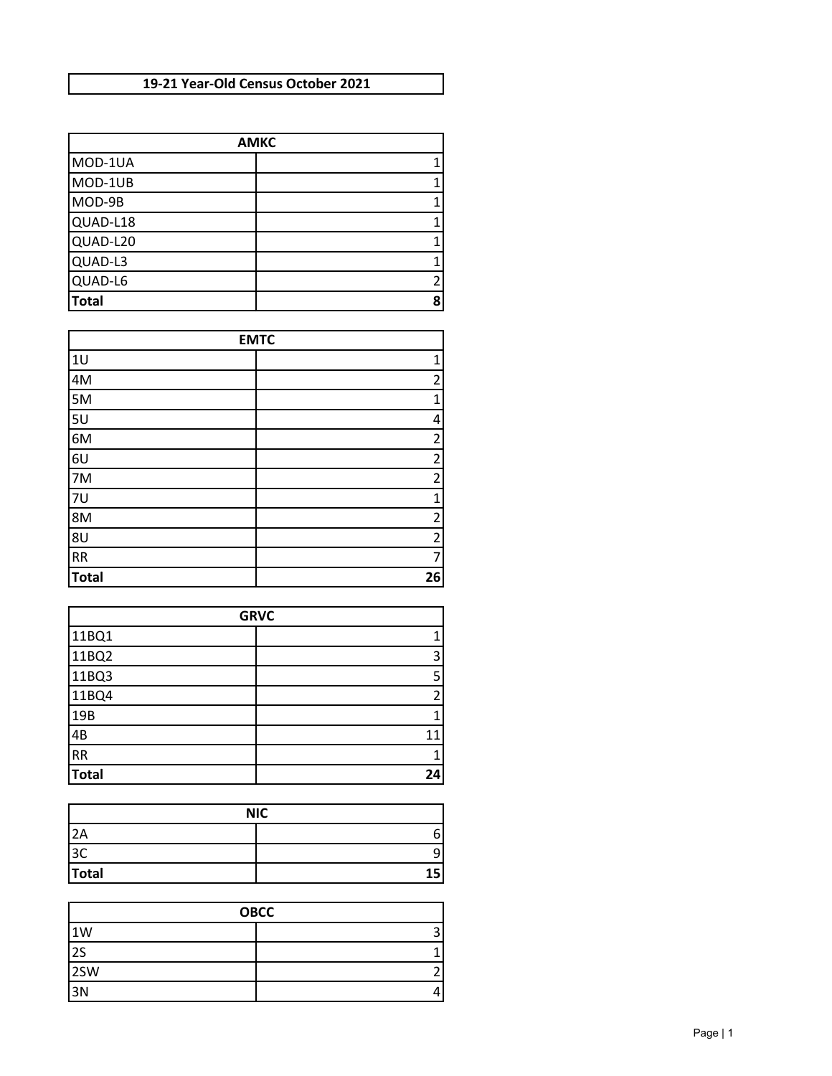## **19-21 Year-Old Census October 2021**

| <b>AMKC</b>  |                |
|--------------|----------------|
| MOD-1UA      |                |
| MOD-1UB      |                |
| MOD-9B       |                |
| QUAD-L18     |                |
| QUAD-L20     |                |
| QUAD-L3      |                |
| QUAD-L6      | $\mathfrak{p}$ |
| <b>Total</b> | 8              |

| <b>EMTC</b>  |  |                |
|--------------|--|----------------|
| 1U           |  | 1              |
| 4M           |  | $\overline{2}$ |
| 5M           |  | $\mathbf 1$    |
| 5U           |  | 4              |
| 6M           |  | $\overline{c}$ |
| 6U           |  | $\overline{c}$ |
| 7M           |  | $\overline{c}$ |
| 7U           |  | $\mathbf 1$    |
| 8M           |  | $\overline{2}$ |
| 8U           |  | $\overline{2}$ |
| ${\sf RR}$   |  | $\overline{7}$ |
| <b>Total</b> |  | 26             |

| <b>GRVC</b>  |               |
|--------------|---------------|
| 11BQ1        |               |
| 11BQ2        | 3             |
| 11BQ3        | 5             |
| 11BQ4        | $\mathcal{P}$ |
| 19B          |               |
| 4B           | 11            |
| RR           |               |
| <b>Total</b> | 24            |

| <b>NIC</b>           |    |
|----------------------|----|
| 2A                   | 6  |
| 2 <sup>c</sup><br>ುರ | q  |
| Total                | 15 |

| <b>OBCC</b> |  |  |
|-------------|--|--|
| 1W          |  |  |
| 2S          |  |  |
| 2SW         |  |  |
| 3N          |  |  |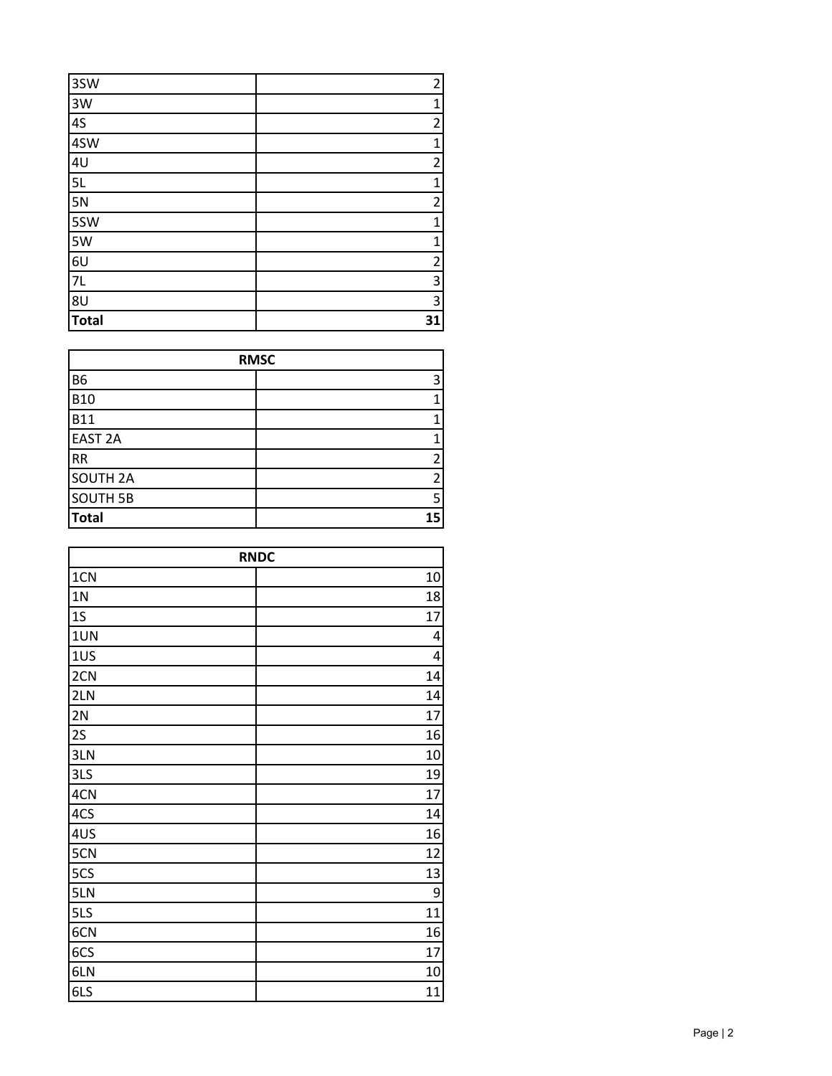| 3SW            | $\overline{2}$          |
|----------------|-------------------------|
| 3W             | $\mathbf{1}$            |
| 4S             | $\overline{\mathbf{c}}$ |
| 4SW            | $\mathbf{1}$            |
| 4 <sub>U</sub> | $\overline{\mathbf{c}}$ |
| 5L             | $\mathbf{1}$            |
| 5N             | $\overline{\mathbf{c}}$ |
| 5SW            | $\mathbf{1}$            |
| 5W             | $\mathbf{1}$            |
| 6U             | $\overline{c}$          |
| $7L$           | 3                       |
| 8U             | 3                       |
| <b>Total</b>   | 31                      |

| <b>RMSC</b>     |    |
|-----------------|----|
| <b>B6</b>       |    |
| <b>B10</b>      |    |
| <b>B11</b>      |    |
| <b>EAST 2A</b>  |    |
| <b>RR</b>       |    |
| <b>SOUTH 2A</b> |    |
| <b>SOUTH 5B</b> |    |
| <b>Total</b>    | 15 |

| <b>RNDC</b>    |    |
|----------------|----|
| 1CN            | 10 |
| 1 <sub>N</sub> | 18 |
| 1S             | 17 |
| 1UN            | 4  |
| 1US            | 4  |
| 2CN            | 14 |
| 2LN            | 14 |
| 2N             | 17 |
| 2S             | 16 |
| 3LN            | 10 |
| 3LS            | 19 |
| 4CN            | 17 |
| 4CS            | 14 |
| 4US            | 16 |
| 5CN            | 12 |
| 5CS            | 13 |
| 5LN            | 9  |
| 5LS            | 11 |
| 6CN            | 16 |
| 6CS            | 17 |
| 6LN            | 10 |
| 6LS            | 11 |